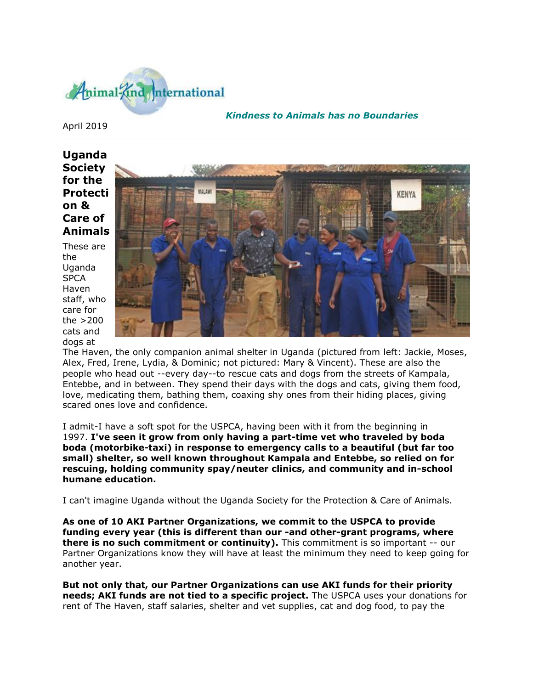

#### *Kindness to Animals has no Boundaries*

April 2019

**Uganda Society for the Protecti on & Care of Animals**

These are the Uganda **SPCA** Haven staff, who care for the >200 cats and dogs at



The Haven, the only companion animal shelter in Uganda (pictured from left: Jackie, Moses, Alex, Fred, Irene, Lydia, & Dominic; not pictured: Mary & Vincent). These are also the people who head out --every day--to rescue cats and dogs from the streets of Kampala, Entebbe, and in between. They spend their days with the dogs and cats, giving them food, love, medicating them, bathing them, coaxing shy ones from their hiding places, giving scared ones love and confidence.

I admit-I have a soft spot for the USPCA, having been with it from the beginning in 1997. **I've seen it grow from only having a part-time vet who traveled by boda boda (motorbike-taxi) in response to emergency calls to a beautiful (but far too small) shelter, so well known throughout Kampala and Entebbe, so relied on for rescuing, holding community spay/neuter clinics, and community and in-school humane education.**

I can't imagine Uganda without the Uganda Society for the Protection & Care of Animals.

**As one of 10 AKI Partner Organizations, we commit to the USPCA to provide funding every year (this is different than our -and other-grant programs, where there is no such commitment or continuity).** This commitment is so important -- our Partner Organizations know they will have at least the minimum they need to keep going for another year.

**But not only that, our Partner Organizations can use AKI funds for their priority needs; AKI funds are not tied to a specific project.** The USPCA uses your donations for rent of The Haven, staff salaries, shelter and vet supplies, cat and dog food, to pay the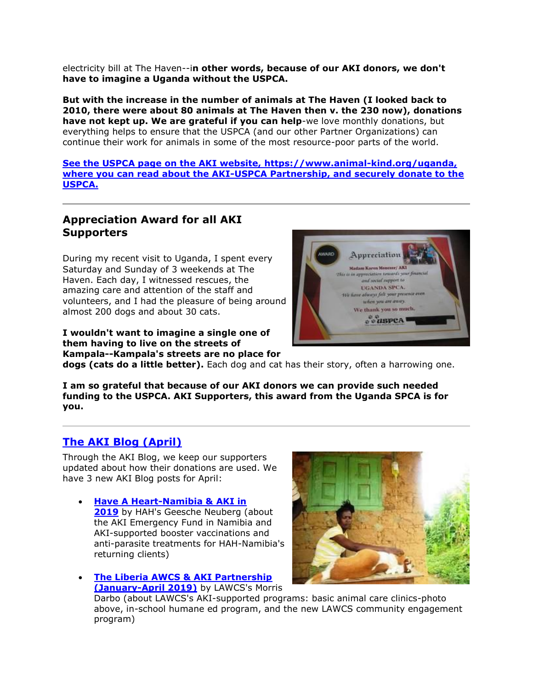electricity bill at The Haven--i**n other words, because of our AKI donors, we don't have to imagine a Uganda without the USPCA.**

**But with the increase in the number of animals at The Haven (I looked back to 2010, there were about 80 animals at The Haven then v. the 230 now), donations have not kept up. We are grateful if you can help**-we love monthly donations, but everything helps to ensure that the USPCA (and our other Partner Organizations) can continue their work for animals in some of the most resource-poor parts of the world.

**[See the USPCA page on the AKI website,](http://cts.vresp.com/c/?AnimalKindInternatio/5d6a68e86f/f33df9aebc/f8dbc36b43) https://www.animal-kind.org/uganda, [where you can read about the AKI-USPCA Partnership, and securely donate to the](http://cts.vresp.com/c/?AnimalKindInternatio/5d6a68e86f/f33df9aebc/f8dbc36b43)  [USPCA.](http://cts.vresp.com/c/?AnimalKindInternatio/5d6a68e86f/f33df9aebc/f8dbc36b43)**

### **Appreciation Award for all AKI Supporters**

During my recent visit to Uganda, I spent every Saturday and Sunday of 3 weekends at The Haven. Each day, I witnessed rescues, the amazing care and attention of the staff and volunteers, and I had the pleasure of being around almost 200 dogs and about 30 cats.

**I wouldn't want to imagine a single one of them having to live on the streets of Kampala--Kampala's streets are no place for** 



**dogs (cats do a little better).** Each dog and cat has their story, often a harrowing one.

**I am so grateful that because of our AKI donors we can provide such needed funding to the USPCA. AKI Supporters, this award from the Uganda SPCA is for you.**

## **[The AKI Blog \(April\)](http://cts.vresp.com/c/?AnimalKindInternatio/5d6a68e86f/f33df9aebc/661a6ee797)**

Through the AKI Blog, we keep our supporters updated about how their donations are used. We have 3 new AKI Blog posts for April:

 **[Have A Heart-Namibia & AKI in](http://cts.vresp.com/c/?AnimalKindInternatio/5d6a68e86f/f33df9aebc/d56a704e44)  [2019](http://cts.vresp.com/c/?AnimalKindInternatio/5d6a68e86f/f33df9aebc/d56a704e44)** by HAH's Geesche Neuberg (about the AKI Emergency Fund in Namibia and AKI-supported booster vaccinations and anti-parasite treatments for HAH-Namibia's returning clients)

**[The Liberia AWCS & AKI Partnership](http://cts.vresp.com/c/?AnimalKindInternatio/5d6a68e86f/f33df9aebc/ae48171c67)** 

**[\(January-April 2019\)](http://cts.vresp.com/c/?AnimalKindInternatio/5d6a68e86f/f33df9aebc/ae48171c67)** by LAWCS's Morris Darbo (about LAWCS's AKI-supported programs: basic animal care clinics-photo above, in-school humane ed program, and the new LAWCS community engagement program)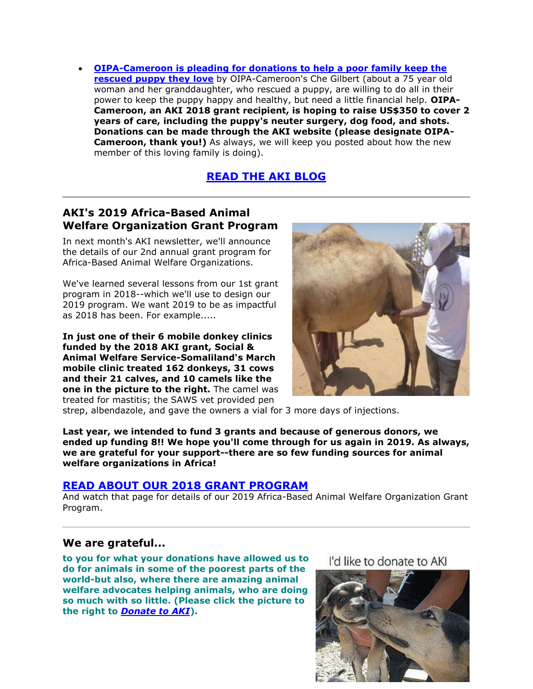**[OIPA-Cameroon is pleading for donations to help a poor family keep the](http://cts.vresp.com/c/?AnimalKindInternatio/5d6a68e86f/f33df9aebc/86fda7e496)  [rescued puppy they](http://cts.vresp.com/c/?AnimalKindInternatio/5d6a68e86f/f33df9aebc/86fda7e496) love** by OIPA-Cameroon's Che Gilbert (about a 75 year old woman and her granddaughter, who rescued a puppy, are willing to do all in their power to keep the puppy happy and healthy, but need a little financial help. **OIPA-Cameroon, an AKI 2018 grant recipient, is hoping to raise US\$350 to cover 2 years of care, including the puppy's neuter surgery, dog food, and shots. Donations can be made through the AKI website (please designate OIPA-Cameroon, thank you!)** As always, we will keep you posted about how the new member of this loving family is doing).

# **[READ THE AKI BLOG](http://cts.vresp.com/c/?AnimalKindInternatio/5d6a68e86f/f33df9aebc/6eec1f228f)**

## **AKI's 2019 Africa-Based Animal Welfare Organization Grant Program**

In next month's AKI newsletter, we'll announce the details of our 2nd annual grant program for Africa-Based Animal Welfare Organizations.

We've learned several lessons from our 1st grant program in 2018--which we'll use to design our 2019 program. We want 2019 to be as impactful as 2018 has been. For example.....

**In just one of their 6 mobile donkey clinics funded by the 2018 AKI grant, Social & Animal Welfare Service-Somaliland's March mobile clinic treated 162 donkeys, 31 cows and their 21 calves, and 10 camels like the one in the picture to the right.** The camel was treated for mastitis; the SAWS vet provided pen



strep, albendazole, and gave the owners a vial for 3 more days of injections.

**Last year, we intended to fund 3 grants and because of generous donors, we ended up funding 8!! We hope you'll come through for us again in 2019. As always, we are grateful for your support--there are so few funding sources for animal welfare organizations in Africa!**

#### **[READ ABOUT OUR 2018 GRANT PROGRAM](http://cts.vresp.com/c/?AnimalKindInternatio/5d6a68e86f/f33df9aebc/96b65c7448)**

And watch that page for details of our 2019 Africa-Based Animal Welfare Organization Grant Program.

#### **We are grateful...**

**to you for what your donations have allowed us to do for animals in some of the poorest parts of the world-but also, where there are amazing animal welfare advocates helping animals, who are doing so much with so little. (Please click the picture to the right to** *[Donate to AKI](http://cts.vresp.com/c/?AnimalKindInternatio/5d6a68e86f/f33df9aebc/a73f7805b1)***).**

### I'd like to donate to AKI